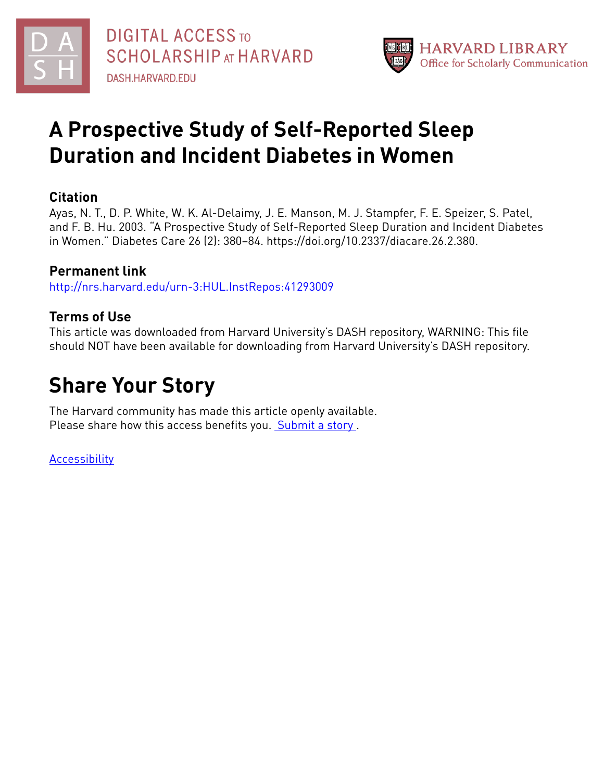



# **A Prospective Study of Self-Reported Sleep Duration and Incident Diabetes in Women**

## **Citation**

Ayas, N. T., D. P. White, W. K. Al-Delaimy, J. E. Manson, M. J. Stampfer, F. E. Speizer, S. Patel, and F. B. Hu. 2003. "A Prospective Study of Self-Reported Sleep Duration and Incident Diabetes in Women." Diabetes Care 26 (2): 380–84. https://doi.org/10.2337/diacare.26.2.380.

## **Permanent link**

<http://nrs.harvard.edu/urn-3:HUL.InstRepos:41293009>

## **Terms of Use**

This article was downloaded from Harvard University's DASH repository, WARNING: This file should NOT have been available for downloading from Harvard University's DASH repository.

# **Share Your Story**

The Harvard community has made this article openly available. Please share how this access benefits you. [Submit](http://osc.hul.harvard.edu/dash/open-access-feedback?handle=&title=A%20Prospective%20Study%20of%20Self-Reported%20Sleep%20Duration%20and%20Incident%20Diabetes%20in%20Women&community=1/4454687&collection=1/4454688&owningCollection1/4454688&harvardAuthors=0ea0d3d973047edef92c10cf5de5464d&department) a story .

[Accessibility](https://dash.harvard.edu/pages/accessibility)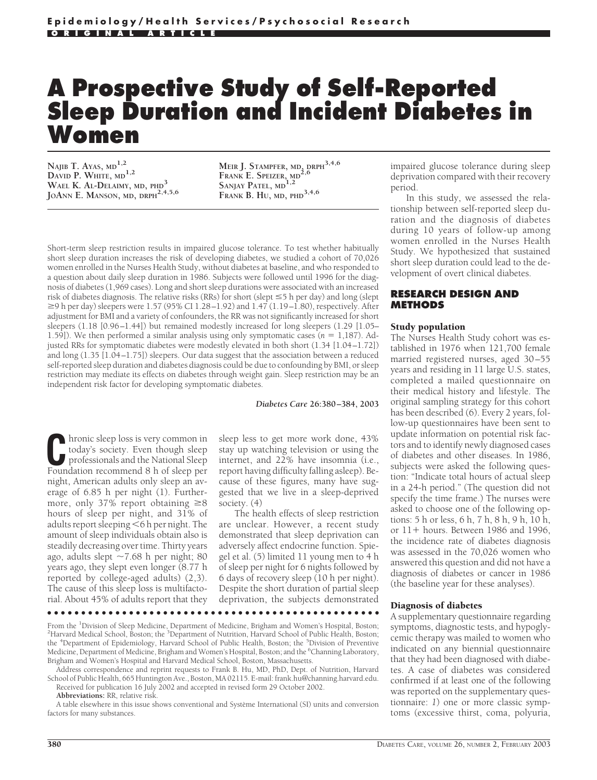# **A Prospective Study of Self-Reported Sleep Duration and Incident Diabetes in Women**

**NAJIB T. AYAS, MD1,2 DAVID P. WHITE, MD1,2 WAEL K. AL-DELAIMY, MD, PHD<sup>3</sup> JOANN E. MANSON, MD, DRPH2,4,5,6** **MEIR J. STAMPFER, MD, DRPH3,4,6 FRANK E. SPEIZER, MD2,6 SANJAY PATEL, MD1,2 FRANK B. HU, MD, PHD3,4,6**

Short-term sleep restriction results in impaired glucose tolerance. To test whether habitually short sleep duration increases the risk of developing diabetes, we studied a cohort of 70,026 women enrolled in the Nurses Health Study, without diabetes at baseline, and who responded to a question about daily sleep duration in 1986. Subjects were followed until 1996 for the diagnosis of diabetes (1,969 cases). Long and short sleep durations were associated with an increased risk of diabetes diagnosis. The relative risks (RRs) for short (slept  $\leq$  5 h per day) and long (slept  $≥$ 9 h per day) sleepers were 1.57 (95% CI 1.28–1.92) and 1.47 (1.19–1.80), respectively. After adjustment for BMI and a variety of confounders, the RR was not significantly increased for short sleepers (1.18 [0.96–1.44]) but remained modestly increased for long sleepers (1.29 [1.05– 1.59]). We then performed a similar analysis using only symptomatic cases  $(n = 1,187)$ . Adjusted RRs for symptomatic diabetes were modestly elevated in both short (1.34 [1.04–1.72]) and long (1.35 [1.04–1.75]) sleepers. Our data suggest that the association between a reduced self-reported sleep duration and diabetes diagnosis could be due to confounding by BMI, or sleep restriction may mediate its effects on diabetes through weight gain. Sleep restriction may be an independent risk factor for developing symptomatic diabetes.

#### *Diabetes Care* **26:380–384, 2003**

**C**hronic sleep loss is very common in<br>
today's society. Even though sleep<br>
professionals and the National Sleep<br>
Foundation recommend 8 h of sleep per today's society. Even though sleep Foundation recommend 8 h of sleep per night, American adults only sleep an average of 6.85 h per night (1). Furthermore, only 37% report obtaining  $\geq 8$ hours of sleep per night, and 31% of adults report sleeping  $<$ 6 h per night. The amount of sleep individuals obtain also is steadily decreasing over time. Thirty years ago, adults slept  $\sim$  7.68 h per night; 80 years ago, they slept even longer (8.77 h reported by college-aged adults) (2,3). The cause of this sleep loss is multifactorial. About 45% of adults report that they

●●●●●●●●●●●●●●●●●●●●●●●●●●●●●●●●●●●●●●●●●●●●●●●●●

sleep less to get more work done, 43% stay up watching television or using the internet, and 22% have insomnia (i.e., report having difficulty falling asleep). Because of these figures, many have suggested that we live in a sleep-deprived society. (4)

The health effects of sleep restriction are unclear. However, a recent study demonstrated that sleep deprivation can adversely affect endocrine function. Spiegel et al. (5) limited 11 young men to 4 h of sleep per night for 6 nights followed by 6 days of recovery sleep (10 h per night). Despite the short duration of partial sleep deprivation, the subjects demonstrated

From the <sup>1</sup>Division of Sleep Medicine, Department of Medicine, Brigham and Women's Hospital, Boston;<br><sup>2</sup>Harvard Medical School, Boston; the <sup>3</sup>Department of Nutrition, Harvard School of Public Health, Boston; Harvard Medical School, Boston; the <sup>3</sup>Department of Nutrition, Harvard School of Public Health, Boston; the <sup>4</sup>Department of Epidemiology, Harvard School of Public Health, Boston; the <sup>5</sup>Division of Preventive Medicine, Department of Medicine, Brigham and Women's Hospital, Boston; and the <sup>6</sup>Channing Laboratory, Brigham and Women's Hospital and Harvard Medical School, Boston, Massachusetts.

Address correspondence and reprint requests to Frank B. Hu, MD, PhD, Dept. of Nutrition, Harvard School of Public Health, 665 Huntington Ave., Boston, MA 02115. E-mail: frank.hu@channing.harvard.edu. Received for publication 16 July 2002 and accepted in revised form 29 October 2002.

**Abbreviations:** RR, relative risk.

A table elsewhere in this issue shows conventional and Système International (SI) units and conversion factors for many substances.

impaired glucose tolerance during sleep deprivation compared with their recovery period.

In this study, we assessed the relationship between self-reported sleep duration and the diagnosis of diabetes during 10 years of follow-up among women enrolled in the Nurses Health Study. We hypothesized that sustained short sleep duration could lead to the development of overt clinical diabetes.

### **RESEARCH DESIGN AND METHODS**

#### Study population

The Nurses Health Study cohort was established in 1976 when 121,700 female married registered nurses, aged 30–55 years and residing in 11 large U.S. states, completed a mailed questionnaire on their medical history and lifestyle. The original sampling strategy for this cohort has been described (6). Every 2 years, follow-up questionnaires have been sent to update information on potential risk factors and to identify newly diagnosed cases of diabetes and other diseases. In 1986, subjects were asked the following question: "Indicate total hours of actual sleep in a 24-h period." (The question did not specify the time frame.) The nurses were asked to choose one of the following options: 5 h or less, 6 h, 7 h, 8 h, 9 h, 10 h, or  $11 +$  hours. Between 1986 and 1996, the incidence rate of diabetes diagnosis was assessed in the 70,026 women who answered this question and did not have a diagnosis of diabetes or cancer in 1986 (the baseline year for these analyses).

#### Diagnosis of diabetes

A supplementary questionnaire regarding symptoms, diagnostic tests, and hypoglycemic therapy was mailed to women who indicated on any biennial questionnaire that they had been diagnosed with diabetes. A case of diabetes was considered confirmed if at least one of the following was reported on the supplementary questionnaire: *1*) one or more classic symptoms (excessive thirst, coma, polyuria,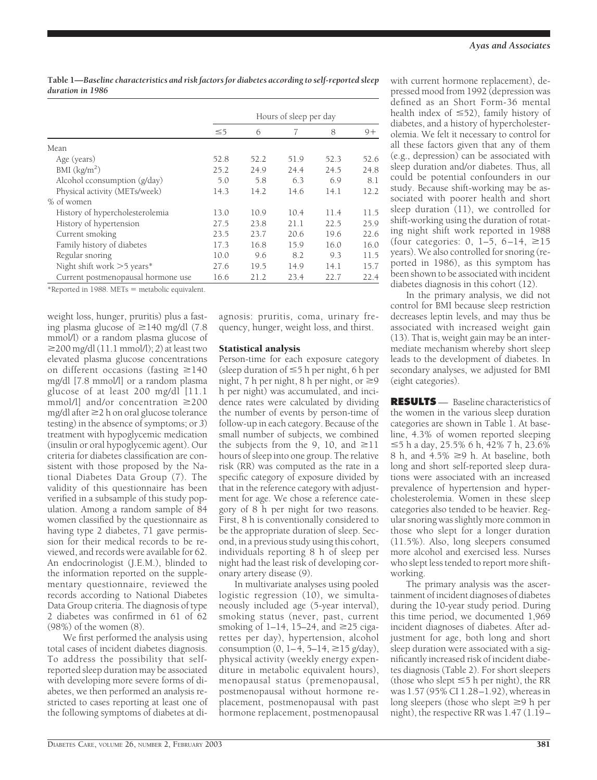|                                    | Hours of sleep per day |      |      |      |      |  |  |
|------------------------------------|------------------------|------|------|------|------|--|--|
|                                    | $\leq 5$               | 6    | 7    | 8    | $9+$ |  |  |
| Mean                               |                        |      |      |      |      |  |  |
| Age (years)                        | 52.8                   | 52.2 | 51.9 | 52.3 | 52.6 |  |  |
| BMI $(kg/m2)$                      | 25.2                   | 24.9 | 24.4 | 24.5 | 24.8 |  |  |
| Alcohol cconsumption (g/day)       | 5.0                    | 5.8  | 6.3  | 6.9  | 8.1  |  |  |
| Physical activity (METs/week)      | 14.3                   | 14.2 | 14.6 | 14.1 | 12.2 |  |  |
| % of women                         |                        |      |      |      |      |  |  |
| History of hypercholesterolemia    | 13.0                   | 10.9 | 10.4 | 11.4 | 11.5 |  |  |
| History of hypertension            | 27.5                   | 23.8 | 21.1 | 22.5 | 25.9 |  |  |
| Current smoking                    | 23.5                   | 23.7 | 20.6 | 19.6 | 22.6 |  |  |
| Family history of diabetes         | 17.3                   | 16.8 | 15.9 | 16.0 | 16.0 |  |  |
| Regular snoring                    | 10.0                   | 9.6  | 8.2  | 9.3  | 11.5 |  |  |
| Night shift work >5 years*         | 27.6                   | 19.5 | 14.9 | 14.1 | 15.7 |  |  |
| Current postmenopausal hormone use | 16.6                   | 21.2 | 23.4 | 22.7 | 22.4 |  |  |

\*Reported in 1988. METs metabolic equivalent.

*duration in 1986*

weight loss, hunger, pruritis) plus a fasting plasma glucose of  $\geq$ 140 mg/dl (7.8) mmol/l) or a random plasma glucose of -200 mg/dl (11.1 mmol/l); *2*) at least two elevated plasma glucose concentrations on different occasions (fasting  $\geq$ 140 mg/dl [7.8 mmol/l] or a random plasma glucose of at least 200 mg/dl [11.1 mmol/l] and/or concentration  $\geq$ 200 mg/dl after ≥2 h on oral glucose tolerance testing) in the absence of symptoms; or *3*) treatment with hypoglycemic medication (insulin or oral hypoglycemic agent). Our criteria for diabetes classification are consistent with those proposed by the National Diabetes Data Group (7). The validity of this questionnaire has been verified in a subsample of this study population. Among a random sample of 84 women classified by the questionnaire as having type 2 diabetes, 71 gave permission for their medical records to be reviewed, and records were available for 62. An endocrinologist (J.E.M.), blinded to the information reported on the supplementary questionnaire, reviewed the records according to National Diabetes Data Group criteria. The diagnosis of type 2 diabetes was confirmed in 61 of 62 (98%) of the women (8).

We first performed the analysis using total cases of incident diabetes diagnosis. To address the possibility that selfreported sleep duration may be associated with developing more severe forms of diabetes, we then performed an analysis restricted to cases reporting at least one of the following symptoms of diabetes at di-

agnosis: pruritis, coma, urinary frequency, hunger, weight loss, and thirst.

### Statistical analysis

Person-time for each exposure category (sleep duration of  $\leq$  5 h per night, 6 h per night, 7 h per night, 8 h per night, or  $\geq$ 9 h per night) was accumulated, and incidence rates were calculated by dividing the number of events by person-time of follow-up in each category. Because of the small number of subjects, we combined the subjects from the 9, 10, and  $\geq 11$ hours of sleep into one group. The relative risk (RR) was computed as the rate in a specific category of exposure divided by that in the reference category with adjustment for age. We chose a reference category of 8 h per night for two reasons. First, 8 h is conventionally considered to be the appropriate duration of sleep. Second, in a previous study using this cohort, individuals reporting 8 h of sleep per night had the least risk of developing coronary artery disease (9).

In multivariate analyses using pooled logistic regression (10), we simultaneously included age (5-year interval), smoking status (never, past, current smoking of  $1-14$ ,  $15-24$ , and  $\geq 25$  cigarettes per day), hypertension, alcohol consumption  $(0, 1-4, 5-14, \geq 15 \text{ g/day})$ , physical activity (weekly energy expenditure in metabolic equivalent hours), menopausal status (premenopausal, postmenopausal without hormone replacement, postmenopausal with past hormone replacement, postmenopausal

with current hormone replacement), depressed mood from 1992 (depression was defined as an Short Form-36 mental health index of  $\leq 52$ ), family history of diabetes, and a history of hypercholesterolemia. We felt it necessary to control for all these factors given that any of them (e.g., depression) can be associated with sleep duration and/or diabetes. Thus, all could be potential confounders in our study. Because shift-working may be associated with poorer health and short sleep duration (11), we controlled for shift-working using the duration of rotating night shift work reported in 1988 (four categories: 0, 1–5, 6–14, ≥15 years). We also controlled for snoring (reported in 1986), as this symptom has been shown to be associated with incident diabetes diagnosis in this cohort (12).

In the primary analysis, we did not control for BMI because sleep restriction decreases leptin levels, and may thus be associated with increased weight gain (13). That is, weight gain may be an intermediate mechanism whereby short sleep leads to the development of diabetes. In secondary analyses, we adjusted for BMI (eight categories).

**RESULTS** — Baseline characteristics of the women in the various sleep duration categories are shown in Table 1. At baseline, 4.3% of women reported sleeping  $\leq$  5 h a day, 25.5% 6 h, 42% 7 h, 23.6% 8 h, and  $4.5\% \geq 9$  h. At baseline, both long and short self-reported sleep durations were associated with an increased prevalence of hypertension and hypercholesterolemia. Women in these sleep categories also tended to be heavier. Regular snoring was slightly more common in those who slept for a longer duration (11.5%). Also, long sleepers consumed more alcohol and exercised less. Nurses who slept less tended to report more shiftworking.

The primary analysis was the ascertainment of incident diagnoses of diabetes during the 10-year study period. During this time period, we documented 1,969 incident diagnoses of diabetes. After adjustment for age, both long and short sleep duration were associated with a significantly increased risk of incident diabetes diagnosis (Table 2). For short sleepers (those who slept  $\leq$ 5 h per night), the RR was 1.57 (95% CI 1.28–1.92), whereas in long sleepers (those who slept  $\geq$ 9 h per night), the respective RR was 1.47 (1.19–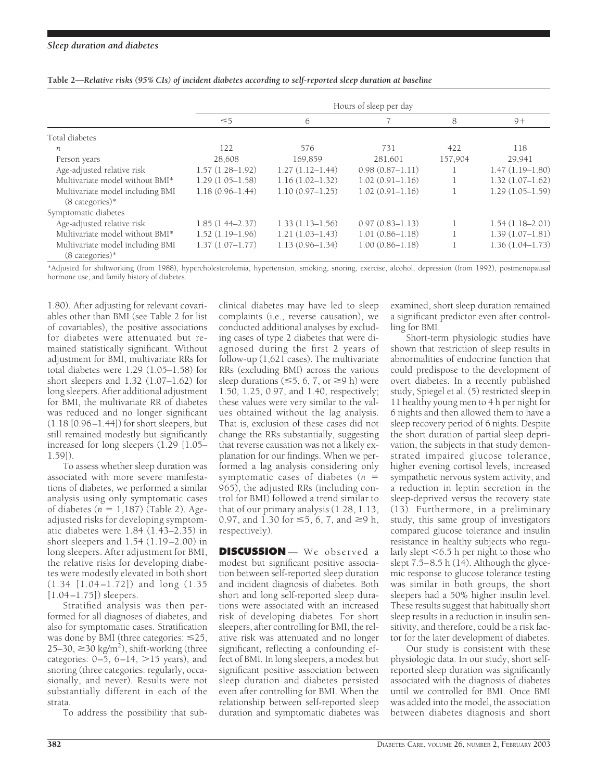|                                                       | Hours of sleep per day |                     |                     |         |                     |  |  |  |
|-------------------------------------------------------|------------------------|---------------------|---------------------|---------|---------------------|--|--|--|
|                                                       | $\leq 5$               | 6                   |                     | 8       | $9+$                |  |  |  |
| Total diabetes                                        |                        |                     |                     |         |                     |  |  |  |
| n                                                     | 122                    | 576                 | 731                 | 422     | 118                 |  |  |  |
| Person years                                          | 28,608                 | 169,859             | 281,601             | 157,904 | 29,941              |  |  |  |
| Age-adjusted relative risk                            | $1.57(1.28 - 1.92)$    | $1.27(1.12 - 1.44)$ | $0.98(0.87 - 1.11)$ |         | $1.47(1.19 - 1.80)$ |  |  |  |
| Multivariate model without BMI*                       | $1.29(1.05 - 1.58)$    | $1.16(1.02 - 1.32)$ | $1.02(0.91 - 1.16)$ |         | $1.32(1.07 - 1.62)$ |  |  |  |
| Multivariate model including BMI<br>$(8$ categories)* | $1.18(0.96 - 1.44)$    | $1.10(0.97 - 1.25)$ | $1.02(0.91 - 1.16)$ |         | $1.29(1.05 - 1.59)$ |  |  |  |
| Symptomatic diabetes                                  |                        |                     |                     |         |                     |  |  |  |
| Age-adjusted relative risk                            | $1.85(1.44 - 2.37)$    | $1.33(1.13 - 1.56)$ | $0.97(0.83 - 1.13)$ |         | $1.54(1.18-2.01)$   |  |  |  |
| Multivariate model without BMI*                       | $1.52(1.19-1.96)$      | $1.21(1.03 - 1.43)$ | $1.01(0.86 - 1.18)$ |         | $1.39(1.07-1.81)$   |  |  |  |
| Multivariate model including BMI<br>$(8$ categories)* | $1.37(1.07 - 1.77)$    | $1.13(0.96 - 1.34)$ | $1.00(0.86 - 1.18)$ |         | $1.36(1.04 - 1.73)$ |  |  |  |

**Table 2—***Relative risks (95% CIs) of incident diabetes according to self-reported sleep duration at baseline*

\*Adjusted for shiftworking (from 1988), hypercholesterolemia, hypertension, smoking, snoring, exercise, alcohol, depression (from 1992), postmenopausal hormone use, and family history of diabetes.

1.80). After adjusting for relevant covariables other than BMI (see Table 2 for list of covariables), the positive associations for diabetes were attenuated but remained statistically significant. Without adjustment for BMI, multivariate RRs for total diabetes were 1.29 (1.05–1.58) for short sleepers and 1.32 (1.07–1.62) for long sleepers. After additional adjustment for BMI, the multivariate RR of diabetes was reduced and no longer significant (1.18 [0.96–1.44]) for short sleepers, but still remained modestly but significantly increased for long sleepers (1.29 [1.05– 1.59]).

To assess whether sleep duration was associated with more severe manifestations of diabetes, we performed a similar analysis using only symptomatic cases of diabetes  $(n = 1,187)$  (Table 2). Ageadjusted risks for developing symptomatic diabetes were 1.84 (1.43–2.35) in short sleepers and 1.54 (1.19 –2.00) in long sleepers. After adjustment for BMI, the relative risks for developing diabetes were modestly elevated in both short (1.34 [1.04 –1.72]) and long (1.35  $[1.04 - 1.75]$ ) sleepers.

Stratified analysis was then performed for all diagnoses of diabetes, and also for symptomatic cases. Stratification was done by BMI (three categories:  $\leq 25$ , 25–30,  $\geq$  30 kg/m<sup>2</sup>), shift-working (three categories:  $0-5$ ,  $6-14$ ,  $>15$  years), and snoring (three categories: regularly, occasionally, and never). Results were not substantially different in each of the strata.

To address the possibility that sub-

clinical diabetes may have led to sleep complaints (i.e., reverse causation), we conducted additional analyses by excluding cases of type 2 diabetes that were diagnosed during the first 2 years of follow-up (1,621 cases). The multivariate RRs (excluding BMI) across the various sleep durations ( $\leq$ 5, 6, 7, or  $\geq$ 9 h) were 1.50, 1.25, 0.97, and 1.40, respectively; these values were very similar to the values obtained without the lag analysis. That is, exclusion of these cases did not change the RRs substantially, suggesting that reverse causation was not a likely explanation for our findings. When we performed a lag analysis considering only symptomatic cases of diabetes (*n* 965), the adjusted RRs (including control for BMI) followed a trend similar to that of our primary analysis (1.28, 1.13, 0.97, and 1.30 for  $\leq$ 5, 6, 7, and  $\geq$ 9 h, respectively).

**DISCUSSION** — We observed a modest but significant positive association between self-reported sleep duration and incident diagnosis of diabetes. Both short and long self-reported sleep durations were associated with an increased risk of developing diabetes. For short sleepers, after controlling for BMI, the relative risk was attenuated and no longer significant, reflecting a confounding effect of BMI. In long sleepers, a modest but significant positive association between sleep duration and diabetes persisted even after controlling for BMI. When the relationship between self-reported sleep duration and symptomatic diabetes was

examined, short sleep duration remained a significant predictor even after controlling for BMI.

Short-term physiologic studies have shown that restriction of sleep results in abnormalities of endocrine function that could predispose to the development of overt diabetes. In a recently published study, Spiegel et al. (5) restricted sleep in 11 healthy young men to 4 h per night for 6 nights and then allowed them to have a sleep recovery period of 6 nights. Despite the short duration of partial sleep deprivation, the subjects in that study demonstrated impaired glucose tolerance, higher evening cortisol levels, increased sympathetic nervous system activity, and a reduction in leptin secretion in the sleep-deprived versus the recovery state (13). Furthermore, in a preliminary study, this same group of investigators compared glucose tolerance and insulin resistance in healthy subjects who regularly slept -6.5 h per night to those who slept 7.5–8.5 h (14). Although the glycemic response to glucose tolerance testing was similar in both groups, the short sleepers had a 50% higher insulin level. These results suggest that habitually short sleep results in a reduction in insulin sensitivity, and therefore, could be a risk factor for the later development of diabetes.

Our study is consistent with these physiologic data. In our study, short selfreported sleep duration was significantly associated with the diagnosis of diabetes until we controlled for BMI. Once BMI was added into the model, the association between diabetes diagnosis and short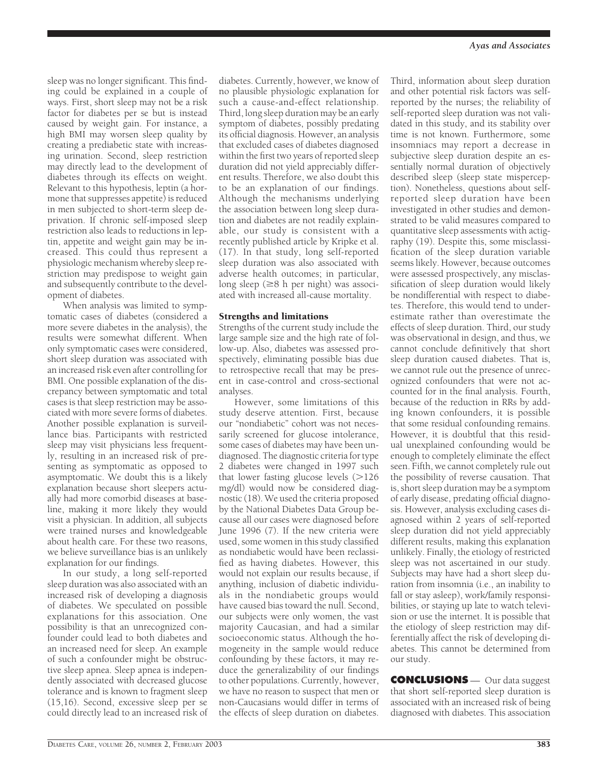sleep was no longer significant. This finding could be explained in a couple of ways. First, short sleep may not be a risk factor for diabetes per se but is instead caused by weight gain. For instance, a high BMI may worsen sleep quality by creating a prediabetic state with increasing urination. Second, sleep restriction may directly lead to the development of diabetes through its effects on weight. Relevant to this hypothesis, leptin (a hormone that suppresses appetite) is reduced in men subjected to short-term sleep deprivation. If chronic self-imposed sleep restriction also leads to reductions in leptin, appetite and weight gain may be increased. This could thus represent a physiologic mechanism whereby sleep restriction may predispose to weight gain and subsequently contribute to the development of diabetes.

When analysis was limited to symptomatic cases of diabetes (considered a more severe diabetes in the analysis), the results were somewhat different. When only symptomatic cases were considered, short sleep duration was associated with an increased risk even after controlling for BMI. One possible explanation of the discrepancy between symptomatic and total cases is that sleep restriction may be associated with more severe forms of diabetes. Another possible explanation is surveillance bias. Participants with restricted sleep may visit physicians less frequently, resulting in an increased risk of presenting as symptomatic as opposed to asymptomatic. We doubt this is a likely explanation because short sleepers actually had more comorbid diseases at baseline, making it more likely they would visit a physician. In addition, all subjects were trained nurses and knowledgeable about health care. For these two reasons, we believe surveillance bias is an unlikely explanation for our findings.

In our study, a long self-reported sleep duration was also associated with an increased risk of developing a diagnosis of diabetes. We speculated on possible explanations for this association. One possibility is that an unrecognized confounder could lead to both diabetes and an increased need for sleep. An example of such a confounder might be obstructive sleep apnea. Sleep apnea is independently associated with decreased glucose tolerance and is known to fragment sleep (15,16). Second, excessive sleep per se could directly lead to an increased risk of

diabetes. Currently, however, we know of no plausible physiologic explanation for such a cause-and-effect relationship. Third, long sleep duration may be an early symptom of diabetes, possibly predating its official diagnosis. However, an analysis that excluded cases of diabetes diagnosed within the first two years of reported sleep duration did not yield appreciably different results. Therefore, we also doubt this to be an explanation of our findings. Although the mechanisms underlying the association between long sleep duration and diabetes are not readily explainable, our study is consistent with a recently published article by Kripke et al. (17). In that study, long self-reported sleep duration was also associated with adverse health outcomes; in particular, long sleep (≥8 h per night) was associated with increased all-cause mortality.

### Strengths and limitations

Strengths of the current study include the large sample size and the high rate of follow-up. Also, diabetes was assessed prospectively, eliminating possible bias due to retrospective recall that may be present in case-control and cross-sectional analyses.

However, some limitations of this study deserve attention. First, because our "nondiabetic" cohort was not necessarily screened for glucose intolerance, some cases of diabetes may have been undiagnosed. The diagnostic criteria for type 2 diabetes were changed in 1997 such that lower fasting glucose levels  $(>126$ mg/dl) would now be considered diagnostic (18). We used the criteria proposed by the National Diabetes Data Group because all our cases were diagnosed before June 1996 (7). If the new criteria were used, some women in this study classified as nondiabetic would have been reclassified as having diabetes. However, this would not explain our results because, if anything, inclusion of diabetic individuals in the nondiabetic groups would have caused bias toward the null. Second, our subjects were only women, the vast majority Caucasian, and had a similar socioeconomic status. Although the homogeneity in the sample would reduce confounding by these factors, it may reduce the generalizability of our findings to other populations. Currently, however, we have no reason to suspect that men or non-Caucasians would differ in terms of the effects of sleep duration on diabetes.

Third, information about sleep duration and other potential risk factors was selfreported by the nurses; the reliability of self-reported sleep duration was not validated in this study, and its stability over time is not known. Furthermore, some insomniacs may report a decrease in subjective sleep duration despite an essentially normal duration of objectively described sleep (sleep state misperception). Nonetheless, questions about selfreported sleep duration have been investigated in other studies and demonstrated to be valid measures compared to quantitative sleep assessments with actigraphy (19). Despite this, some misclassification of the sleep duration variable seems likely. However, because outcomes were assessed prospectively, any misclassification of sleep duration would likely be nondifferential with respect to diabetes. Therefore, this would tend to underestimate rather than overestimate the effects of sleep duration. Third, our study was observational in design, and thus, we cannot conclude definitively that short sleep duration caused diabetes. That is, we cannot rule out the presence of unrecognized confounders that were not accounted for in the final analysis. Fourth, because of the reduction in RRs by adding known confounders, it is possible that some residual confounding remains. However, it is doubtful that this residual unexplained confounding would be enough to completely eliminate the effect seen. Fifth, we cannot completely rule out the possibility of reverse causation. That is, short sleep duration may be a symptom of early disease, predating official diagnosis. However, analysis excluding cases diagnosed within 2 years of self-reported sleep duration did not yield appreciably different results, making this explanation unlikely. Finally, the etiology of restricted sleep was not ascertained in our study. Subjects may have had a short sleep duration from insomnia (i.e., an inability to fall or stay asleep), work/family responsibilities, or staying up late to watch television or use the internet. It is possible that the etiology of sleep restriction may differentially affect the risk of developing diabetes. This cannot be determined from our study.

**CONCLUSIONS** — Our data suggest that short self-reported sleep duration is associated with an increased risk of being diagnosed with diabetes. This association